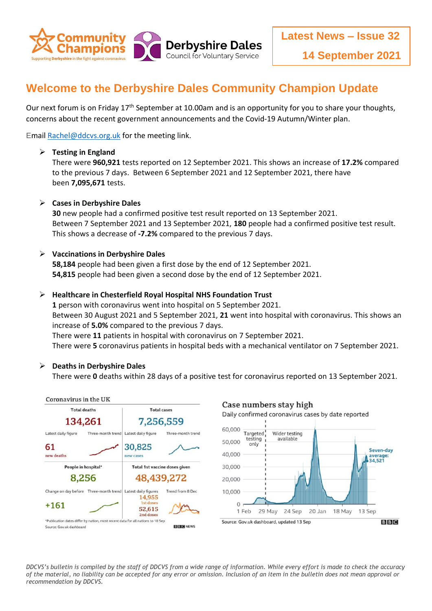

# **Welcome to the Derbyshire Dales Community Champion Update**

Our next forum is on Friday 17<sup>th</sup> September at 10.00am and is an opportunity for you to share your thoughts, concerns about the recent government announcements and the Covid-19 Autumn/Winter plan.

Emai[l Rachel@ddcvs.org.uk](mailto:Rachel@ddcvs.org.uk) for the meeting link.

#### **Testing in England**

There were **960,921** tests reported on 12 September 2021. This shows an increase of **17.2%** compared to the previous 7 days. Between 6 September 2021 and 12 September 2021, there have been **7,095,671** tests.

## **Cases in Derbyshire Dales**

**30** new people had a confirmed positive test result reported on 13 September 2021. Between 7 September 2021 and 13 September 2021, **180** people had a confirmed positive test result. This shows a decrease of **-7.2%** compared to the previous 7 days.

## **Vaccinations in Derbyshire Dales**

**58,184** people had been given a first dose by the end of 12 September 2021. **54,815** people had been given a second dose by the end of 12 September 2021.

## **Healthcare in Chesterfield Royal Hospital NHS Foundation Trust**

**1** person with coronavirus went into hospital on 5 September 2021. Between 30 August 2021 and 5 September 2021, **21** went into hospital with coronavirus. This shows an increase of **5.0%** compared to the previous 7 days.

There were **11** patients in hospital with coronavirus on 7 September 2021.

There were **5** coronavirus patients in hospital beds with a mechanical ventilator on 7 September 2021.

#### **Deaths in Derbyshire Dales**

There were **0** deaths within 28 days of a positive test for coronavirus reported on 13 September 2021.



*DDCVS's bulletin is compiled by the staff of DDCVS from a wide range of information. While every effort is made to check the accuracy of the material, no liability can be accepted for any error or omission. Inclusion of an item in the bulletin does not mean approval or recommendation by DDCVS.*